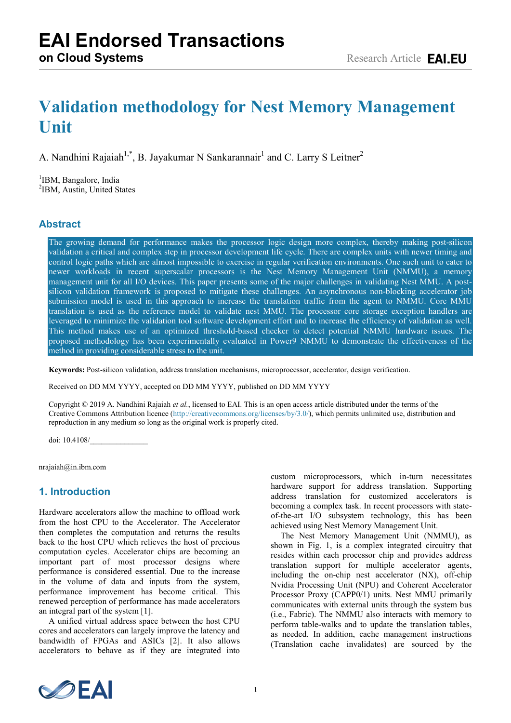# **Methodology for validating Nest Memory Management Unit**

Nandhini Rajaiah $^{1,*}$ , Jayakumar N Sankarannair $^1$  and Larry S Leitner $^2$ 

<sup>1</sup>IBM, Bangalore, India 2 IBM, Austin, United States

# **Abstract**

The growing demand for performance makes the processor logic design more complex, thereby making post-silicon validation a critical and complex step in processor development life cycle. There are complex units with newer timing and control logic paths which are almost impossible to exercise in regular verification environments. One such unit to cater to newer workloads in recent superscalar processors is the Nest Memory Management Unit (NMMU), a memory management unit for all I/O devices. This paper presents some of the major challenges in validating Nest MMU. A postsilicon validation framework is proposed to mitigate these challenges. An asynchronous non-blocking accelerator job submission model is used in this approach to increase the translation traffic from the agent to NMMU. Core MMU translation is used as the reference model to validate nest MMU. The processor core storage exception handlers are leveraged to minimize the validation tool software development effort and to increase the efficiency of validation as well. This method makes use of an optimized threshold-based checker to detect potential NMMU hardware issues. The proposed methodology has been experimentally evaluated in Power9 NMMU to demonstrate the effectiveness of the method in providing considerable stress to the unit.

**Keywords:** Post-silicon validation, address translation mechanisms, microprocessor, accelerator, design verification.

Received on DD MM YYYY, accepted on DD MM YYYY, published on DD MM YYYY

Copyright © 2019 A. Nandhini Rajaiah *et al.*, licensed to EAI. This is an open access article distributed under the terms of the Creative Commons Attribution licence [\(http://creativecommons.org/licenses/by/3.0/\)](http://creativecommons.org/licenses/by/3.0/), which permits unlimited use, distribution and reproduction in any medium so long as the original work is properly cited.

doi: 10.4108/\_\_\_\_\_\_\_\_\_\_\_\_\_\_\_

nrajaiah@in.ibm.com

## **1. Introduction**

Hardware accelerators allow the machine to offload work from the host CPU to the Accelerator. The Accelerator then completes the computation and returns the results back to the host CPU which relieves the host of precious computation cycles. Accelerator chips are becoming an important part of most processor designs where performance is considered essential. Due to the increase in the volume of data and inputs from the system, performance improvement has become critical. This renewed perception of performance has made accelerators an integral part of the system [1].

A unified virtual address space between the host CPU cores and accelerators can largely improve the latency and bandwidth of FPGAs and ASICs [2]. It also allows accelerators to behave as if they are integrated into custom microprocessors, which in-turn necessitates hardware support for address translation. Supporting address translation for customized accelerators is becoming a complex task. In recent processors with stateof-the-art I/O subsystem technology, this has been achieved using Nest Memory Management Unit.

The Nest Memory Management Unit (NMMU), as shown in Fig. 1, is a complex integrated circuitry that resides within each processor chip and provides address translation support for multiple accelerator agents, including the on-chip nest accelerator (NX), off-chip Nvidia Processing Unit (NPU) and Coherent Accelerator Processor Proxy (CAPP0/1) units. Nest MMU primarily communicates with external units through the system bus (i.e., Fabric). The NMMU also interacts with memory to perform table-walks and to update the translation tables, as needed. In addition, cache management instructions (Translation cache invalidates) are sourced by the

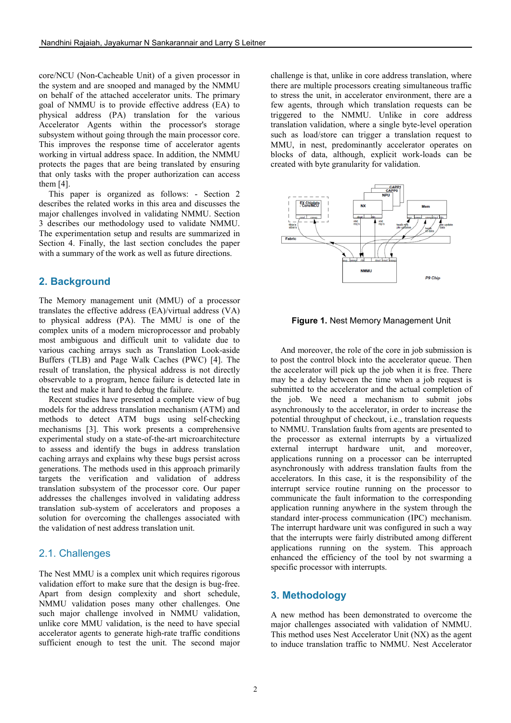core/NCU (Non-Cacheable Unit) of a given processor in the system and are snooped and managed by the NMMU on behalf of the attached accelerator units. The primary goal of NMMU is to provide effective address (EA) to physical address (PA) translation for the various Accelerator Agents within the processor's storage subsystem without going through the main processor core. This improves the response time of accelerator agents working in virtual address space. In addition, the NMMU protects the pages that are being translated by ensuring that only tasks with the proper authorization can access them [4].

This paper is organized as follows: - Section 2 describes the related works in this area and discusses the major challenges involved in validating NMMU. Section 3 describes our methodology used to validate NMMU. The experimentation setup and results are summarized in Section 4. Finally, the last section concludes the paper with a summary of the work as well as future directions.

#### **2. Background**

The Memory management unit (MMU) of a processor translates the effective address (EA)/virtual address (VA) to physical address (PA). The MMU is one of the complex units of a modern microprocessor and probably most ambiguous and difficult unit to validate due to various caching arrays such as Translation Look-aside Buffers (TLB) and Page Walk Caches (PWC) [4]. The result of translation, the physical address is not directly observable to a program, hence failure is detected late in the test and make it hard to debug the failure.

Recent studies have presented a complete view of bug models for the address translation mechanism (ATM) and methods to detect ATM bugs using self-checking mechanisms [3]. This work presents a comprehensive experimental study on a state-of-the-art microarchitecture to assess and identify the bugs in address translation caching arrays and explains why these bugs persist across generations. The methods used in this approach primarily targets the verification and validation of address translation subsystem of the processor core. Our paper addresses the challenges involved in validating address translation sub-system of accelerators and proposes a solution for overcoming the challenges associated with the validation of nest address translation unit.

#### 2.1. Challenges

The Nest MMU is a complex unit which requires rigorous validation effort to make sure that the design is bug-free. Apart from design complexity and short schedule, NMMU validation poses many other challenges. One such major challenge involved in NMMU validation, unlike core MMU validation, is the need to have special accelerator agents to generate high-rate traffic conditions sufficient enough to test the unit. The second major challenge is that, unlike in core address translation, where there are multiple processors creating simultaneous traffic to stress the unit, in accelerator environment, there are a few agents, through which translation requests can be triggered to the NMMU. Unlike in core address translation validation, where a single byte-level operation such as load/store can trigger a translation request to MMU, in nest, predominantly accelerator operates on blocks of data, although, explicit work-loads can be created with byte granularity for validation.



#### **Figure 1.** Nest Memory Management Unit

And moreover, the role of the core in job submission is to post the control block into the accelerator queue. Then the accelerator will pick up the job when it is free. There may be a delay between the time when a job request is submitted to the accelerator and the actual completion of the job. We need a mechanism to submit jobs asynchronously to the accelerator, in order to increase the potential throughput of checkout, i.e., translation requests to NMMU. Translation faults from agents are presented to the processor as external interrupts by a virtualized external interrupt hardware unit, and moreover, applications running on a processor can be interrupted asynchronously with address translation faults from the accelerators. In this case, it is the responsibility of the interrupt service routine running on the processor to communicate the fault information to the corresponding application running anywhere in the system through the standard inter-process communication (IPC) mechanism. The interrupt hardware unit was configured in such a way that the interrupts were fairly distributed among different applications running on the system. This approach enhanced the efficiency of the tool by not swarming a specific processor with interrupts.

#### **3. Methodology**

A new method has been demonstrated to overcome the major challenges associated with validation of NMMU. This method uses Nest Accelerator Unit (NX) as the agent to induce translation traffic to NMMU. Nest Accelerator

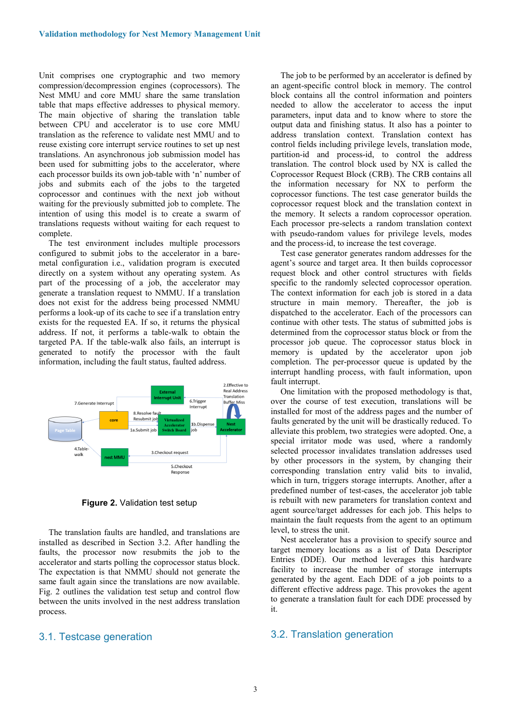Unit comprises one cryptographic and two memory compression/decompression engines (coprocessors). The Nest MMU and core MMU share the same translation table that maps effective addresses to physical memory. The main objective of sharing the translation table between CPU and accelerator is to use core MMU translation as the reference to validate nest MMU and to reuse existing core interrupt service routines to set up nest translations. An asynchronous job submission model has been used for submitting jobs to the accelerator, where each processor builds its own job-table with 'n' number of jobs and submits each of the jobs to the targeted coprocessor and continues with the next job without waiting for the previously submitted job to complete. The intention of using this model is to create a swarm of translations requests without waiting for each request to complete.

The test environment includes multiple processors configured to submit jobs to the accelerator in a baremetal configuration i.e., validation program is executed directly on a system without any operating system. As part of the processing of a job, the accelerator may generate a translation request to NMMU. If a translation does not exist for the address being processed NMMU performs a look-up of its cache to see if a translation entry exists for the requested EA. If so, it returns the physical address. If not, it performs a table-walk to obtain the targeted PA. If the table-walk also fails, an interrupt is generated to notify the processor with the fault information, including the fault status, faulted address.



**Figure 2.** Validation test setup

The translation faults are handled, and translations are installed as described in Section 3.2. After handling the faults, the processor now resubmits the job to the accelerator and starts polling the coprocessor status block. The expectation is that NMMU should not generate the same fault again since the translations are now available. Fig. 2 outlines the validation test setup and control flow between the units involved in the nest address translation process.

#### 3.1. Testcase generation

The job to be performed by an accelerator is defined by an agent-specific control block in memory. The control block contains all the control information and pointers needed to allow the accelerator to access the input parameters, input data and to know where to store the output data and finishing status. It also has a pointer to address translation context. Translation context has control fields including privilege levels, translation mode, partition-id and process-id, to control the address translation. The control block used by NX is called the Coprocessor Request Block (CRB). The CRB contains all the information necessary for NX to perform the coprocessor functions. The test case generator builds the coprocessor request block and the translation context in the memory. It selects a random coprocessor operation. Each processor pre-selects a random translation context with pseudo-random values for privilege levels, modes and the process-id, to increase the test coverage.

Test case generator generates random addresses for the agent's source and target area. It then builds coprocessor request block and other control structures with fields specific to the randomly selected coprocessor operation. The context information for each job is stored in a data structure in main memory. Thereafter, the job is dispatched to the accelerator. Each of the processors can continue with other tests. The status of submitted jobs is determined from the coprocessor status block or from the processor job queue. The coprocessor status block in memory is updated by the accelerator upon job completion. The per-processor queue is updated by the interrupt handling process, with fault information, upon fault interrupt.

One limitation with the proposed methodology is that, over the course of test execution, translations will be installed for most of the address pages and the number of faults generated by the unit will be drastically reduced. To alleviate this problem, two strategies were adopted. One, a special irritator mode was used, where a randomly selected processor invalidates translation addresses used by other processors in the system, by changing their corresponding translation entry valid bits to invalid, which in turn, triggers storage interrupts. Another, after a predefined number of test-cases, the accelerator job table is rebuilt with new parameters for translation context and agent source/target addresses for each job. This helps to maintain the fault requests from the agent to an optimum level, to stress the unit.

Nest accelerator has a provision to specify source and target memory locations as a list of Data Descriptor Entries (DDE). Our method leverages this hardware facility to increase the number of storage interrupts generated by the agent. Each DDE of a job points to a different effective address page. This provokes the agent to generate a translation fault for each DDE processed by it.

#### 3.2. Translation generation

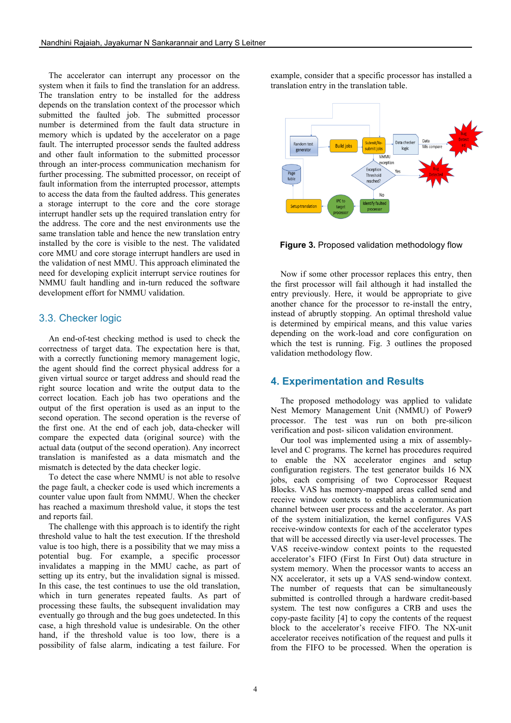The accelerator can interrupt any processor on the system when it fails to find the translation for an address. The translation entry to be installed for the address depends on the translation context of the processor which submitted the faulted job. The submitted processor number is determined from the fault data structure in memory which is updated by the accelerator on a page fault. The interrupted processor sends the faulted address and other fault information to the submitted processor through an inter-process communication mechanism for further processing. The submitted processor, on receipt of fault information from the interrupted processor, attempts to access the data from the faulted address. This generates a storage interrupt to the core and the core storage interrupt handler sets up the required translation entry for the address. The core and the nest environments use the same translation table and hence the new translation entry installed by the core is visible to the nest. The validated core MMU and core storage interrupt handlers are used in the validation of nest MMU. This approach eliminated the need for developing explicit interrupt service routines for NMMU fault handling and in-turn reduced the software development effort for NMMU validation.

#### 3.3. Checker logic

An end-of-test checking method is used to check the correctness of target data. The expectation here is that, with a correctly functioning memory management logic, the agent should find the correct physical address for a given virtual source or target address and should read the right source location and write the output data to the correct location. Each job has two operations and the output of the first operation is used as an input to the second operation. The second operation is the reverse of the first one. At the end of each job, data-checker will compare the expected data (original source) with the actual data (output of the second operation). Any incorrect translation is manifested as a data mismatch and the mismatch is detected by the data checker logic.

To detect the case where NMMU is not able to resolve the page fault, a checker code is used which increments a counter value upon fault from NMMU. When the checker has reached a maximum threshold value, it stops the test and reports fail.

The challenge with this approach is to identify the right threshold value to halt the test execution. If the threshold value is too high, there is a possibility that we may miss a potential bug. For example, a specific processor invalidates a mapping in the MMU cache, as part of setting up its entry, but the invalidation signal is missed. In this case, the test continues to use the old translation, which in turn generates repeated faults. As part of processing these faults, the subsequent invalidation may eventually go through and the bug goes undetected. In this case, a high threshold value is undesirable. On the other hand, if the threshold value is too low, there is a possibility of false alarm, indicating a test failure. For

example, consider that a specific processor has installed a translation entry in the translation table.



**Figure 3.** Proposed validation methodology flow

Now if some other processor replaces this entry, then the first processor will fail although it had installed the entry previously. Here, it would be appropriate to give another chance for the processor to re-install the entry, instead of abruptly stopping. An optimal threshold value is determined by empirical means, and this value varies depending on the work-load and core configuration on which the test is running. Fig. 3 outlines the proposed validation methodology flow.

#### **4. Experimentation and Results**

The proposed methodology was applied to validate Nest Memory Management Unit (NMMU) of Power9 processor. The test was run on both pre-silicon verification and post- silicon validation environment.

Our tool was implemented using a mix of assemblylevel and C programs. The kernel has procedures required to enable the NX accelerator engines and setup configuration registers. The test generator builds 16 NX jobs, each comprising of two Coprocessor Request Blocks. VAS has memory-mapped areas called send and receive window contexts to establish a communication channel between user process and the accelerator. As part of the system initialization, the kernel configures VAS receive-window contexts for each of the accelerator types that will be accessed directly via user-level processes. The VAS receive-window context points to the requested accelerator's FIFO (First In First Out) data structure in system memory. When the processor wants to access an NX accelerator, it sets up a VAS send-window context. The number of requests that can be simultaneously submitted is controlled through a hardware credit-based system. The test now configures a CRB and uses the copy-paste facility [4] to copy the contents of the request block to the accelerator's receive FIFO. The NX-unit accelerator receives notification of the request and pulls it from the FIFO to be processed. When the operation is

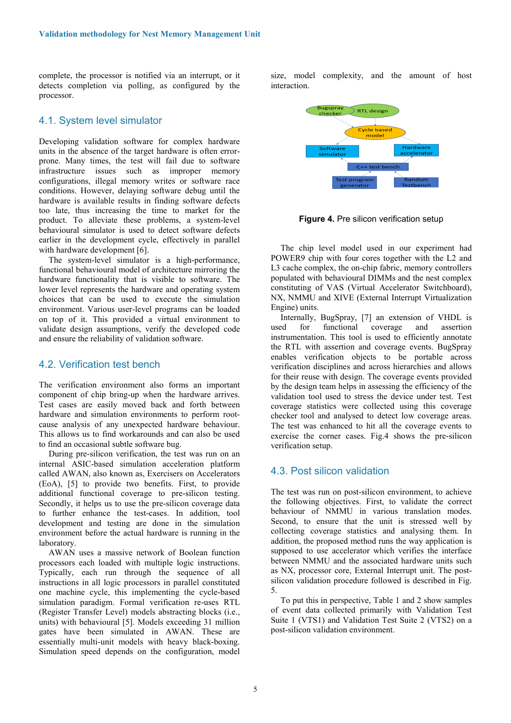complete, the processor is notified via an interrupt, or it detects completion via polling, as configured by the processor.

#### 4.1. System level simulator

Developing validation software for complex hardware units in the absence of the target hardware is often errorprone. Many times, the test will fail due to software infrastructure issues such as improper memory configurations, illegal memory writes or software race conditions. However, delaying software debug until the hardware is available results in finding software defects too late, thus increasing the time to market for the product. To alleviate these problems, a system-level behavioural simulator is used to detect software defects earlier in the development cycle, effectively in parallel with hardware development [6].

The system-level simulator is a high-performance, functional behavioural model of architecture mirroring the hardware functionality that is visible to software. The lower level represents the hardware and operating system choices that can be used to execute the simulation environment. Various user-level programs can be loaded on top of it. This provided a virtual environment to validate design assumptions, verify the developed code and ensure the reliability of validation software.

#### 4.2. Verification test bench

The verification environment also forms an important component of chip bring-up when the hardware arrives. Test cases are easily moved back and forth between hardware and simulation environments to perform rootcause analysis of any unexpected hardware behaviour. This allows us to find workarounds and can also be used to find an occasional subtle software bug.

During pre-silicon verification, the test was run on an internal ASIC-based simulation acceleration platform called AWAN, also known as, Exercisers on Accelerators (EoA), [5] to provide two benefits. First, to provide additional functional coverage to pre-silicon testing. Secondly, it helps us to use the pre-silicon coverage data to further enhance the test-cases. In addition, tool development and testing are done in the simulation environment before the actual hardware is running in the laboratory.

AWAN uses a massive network of Boolean function processors each loaded with multiple logic instructions. Typically, each run through the sequence of all instructions in all logic processors in parallel constituted one machine cycle, this implementing the cycle-based simulation paradigm. Formal verification re-uses RTL (Register Transfer Level) models abstracting blocks (i.e., units) with behavioural [5]. Models exceeding 31 million gates have been simulated in AWAN. These are essentially multi-unit models with heavy black-boxing. Simulation speed depends on the configuration, model size, model complexity, and the amount of host interaction.



**Figure 4.** Pre silicon verification setup

The chip level model used in our experiment had POWER9 chip with four cores together with the L2 and L3 cache complex, the on-chip fabric, memory controllers populated with behavioural DIMMs and the nest complex constituting of VAS (Virtual Accelerator Switchboard), NX, NMMU and XIVE (External Interrupt Virtualization Engine) units.

Internally, BugSpray, [7] an extension of VHDL is used for functional coverage and assertion instrumentation. This tool is used to efficiently annotate the RTL with assertion and coverage events. BugSpray enables verification objects to be portable across verification disciplines and across hierarchies and allows for their reuse with design. The coverage events provided by the design team helps in assessing the efficiency of the validation tool used to stress the device under test. Test coverage statistics were collected using this coverage checker tool and analysed to detect low coverage areas. The test was enhanced to hit all the coverage events to exercise the corner cases. Fig.4 shows the pre-silicon verification setup.

#### 4.3. Post silicon validation

The test was run on post-silicon environment, to achieve the following objectives. First, to validate the correct behaviour of NMMU in various translation modes. Second, to ensure that the unit is stressed well by collecting coverage statistics and analysing them. In addition, the proposed method runs the way application is supposed to use accelerator which verifies the interface between NMMU and the associated hardware units such as NX, processor core, External Interrupt unit. The postsilicon validation procedure followed is described in Fig. 5.

To put this in perspective, Table 1 and 2 show samples of event data collected primarily with Validation Test Suite 1 (VTS1) and Validation Test Suite 2 (VTS2) on a post-silicon validation environment.

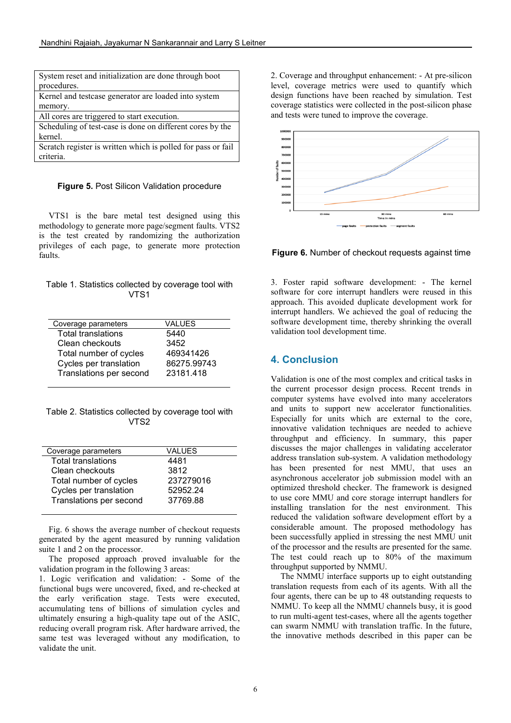| System reset and initialization are done through boot        |
|--------------------------------------------------------------|
| procedures.                                                  |
| Kernel and testcase generator are loaded into system         |
| memory.                                                      |
| All cores are triggered to start execution.                  |
| Scheduling of test-case is done on different cores by the    |
| kernel.                                                      |
| Scratch register is written which is polled for pass or fail |
| criteria.                                                    |

**Figure 5.** Post Silicon Validation procedure

VTS1 is the bare metal test designed using this methodology to generate more page/segment faults. VTS2 is the test created by randomizing the authorization privileges of each page, to generate more protection faults.

|  |      | Table 1. Statistics collected by coverage tool with |  |
|--|------|-----------------------------------------------------|--|
|  | VTS1 |                                                     |  |

| Coverage parameters       | VALUES      |
|---------------------------|-------------|
| <b>Total translations</b> | 5440        |
| Clean checkouts           | 3452        |
| Total number of cycles    | 469341426   |
| Cycles per translation    | 86275.99743 |
| Translations per second   | 23181.418   |
|                           |             |

Table 2. Statistics collected by coverage tool with VTS2

| Coverage parameters       | VALUES    |
|---------------------------|-----------|
| <b>Total translations</b> | 4481      |
| Clean checkouts           | 3812      |
| Total number of cycles    | 237279016 |
| Cycles per translation    | 52952.24  |
| Translations per second   | 37769.88  |
|                           |           |

Fig. 6 shows the average number of checkout requests generated by the agent measured by running validation suite 1 and 2 on the processor.

The proposed approach proved invaluable for the validation program in the following 3 areas:

1. Logic verification and validation: - Some of the functional bugs were uncovered, fixed, and re-checked at the early verification stage. Tests were executed, accumulating tens of billions of simulation cycles and ultimately ensuring a high-quality tape out of the ASIC, reducing overall program risk. After hardware arrived, the same test was leveraged without any modification, to validate the unit.

2. Coverage and throughput enhancement: - At pre-silicon level, coverage metrics were used to quantify which design functions have been reached by simulation. Test coverage statistics were collected in the post-silicon phase and tests were tuned to improve the coverage.



**Figure 6.** Number of checkout requests against time

3. Foster rapid software development: - The kernel software for core interrupt handlers were reused in this approach. This avoided duplicate development work for interrupt handlers. We achieved the goal of reducing the software development time, thereby shrinking the overall validation tool development time.

## **4. Conclusion**

Validation is one of the most complex and critical tasks in the current processor design process. Recent trends in computer systems have evolved into many accelerators and units to support new accelerator functionalities. Especially for units which are external to the core, innovative validation techniques are needed to achieve throughput and efficiency. In summary, this paper discusses the major challenges in validating accelerator address translation sub-system. A validation methodology has been presented for nest MMU, that uses an asynchronous accelerator job submission model with an optimized threshold checker. The framework is designed to use core MMU and core storage interrupt handlers for installing translation for the nest environment. This reduced the validation software development effort by a considerable amount. The proposed methodology has been successfully applied in stressing the nest MMU unit of the processor and the results are presented for the same. The test could reach up to 80% of the maximum throughput supported by NMMU.

The NMMU interface supports up to eight outstanding translation requests from each of its agents. With all the four agents, there can be up to 48 outstanding requests to NMMU. To keep all the NMMU channels busy, it is good to run multi-agent test-cases, where all the agents together can swarm NMMU with translation traffic. In the future, the innovative methods described in this paper can be